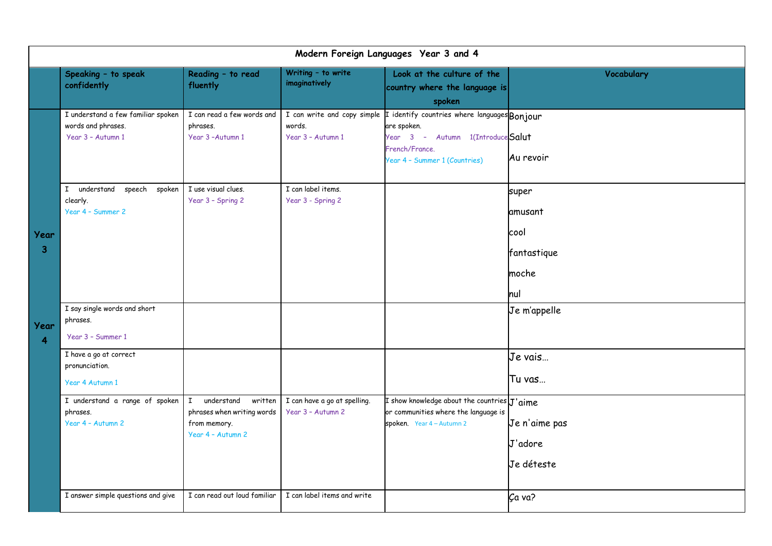| Modern Foreign Languages Year 3 and 4 |                                                                               |                                                                                                          |                                                   |                                                                                                                                                                                 |                                                         |  |  |  |
|---------------------------------------|-------------------------------------------------------------------------------|----------------------------------------------------------------------------------------------------------|---------------------------------------------------|---------------------------------------------------------------------------------------------------------------------------------------------------------------------------------|---------------------------------------------------------|--|--|--|
|                                       | Speaking - to speak<br>confidently                                            | Reading - to read<br>fluently                                                                            | Writing - to write<br>imaginatively               | Look at the culture of the<br>country where the language is<br>spoken                                                                                                           | Vocabulary                                              |  |  |  |
|                                       | I understand a few familiar spoken<br>words and phrases.<br>Year 3 - Autumn 1 | I can read a few words and<br>phrases.<br>Year 3-Autumn 1                                                | words.<br>Year 3 - Autumn 1                       | I can write and copy simple I identify countries where languages Bonjour<br>are spoken.<br>Year 3 - Autumn 1(Introduce Salut<br>French/France.<br>Year 4 - Summer 1 (Countries) | Au revoir                                               |  |  |  |
| Year<br>3<br>Year<br>4                | understand speech spoken<br>$\mathbf{I}$<br>clearly.<br>Year 4 - Summer 2     | I use visual clues.<br>Year 3 - Spring 2                                                                 | I can label items.<br>Year 3 - Spring 2           |                                                                                                                                                                                 | super<br>amusant<br>cool<br>fantastique<br>moche<br>hul |  |  |  |
|                                       | I say single words and short<br>phrases.<br>Year 3 - Summer 1                 |                                                                                                          |                                                   |                                                                                                                                                                                 | Je m'appelle                                            |  |  |  |
|                                       | I have a go at correct<br>pronunciation.<br>Year 4 Autumn 1                   |                                                                                                          |                                                   |                                                                                                                                                                                 | Je vais<br>Tu vas                                       |  |  |  |
|                                       | I understand a range of spoken<br>phrases.<br>Year 4 - Autumn 2               | $\mathbf{I}$<br>understand<br>written<br>phrases when writing words<br>from memory.<br>Year 4 - Autumn 2 | I can have a go at spelling.<br>Year 3 - Autumn 2 | I show knowledge about the countries $J'$ aime<br>or communities where the language is<br>spoken. Year 4 - Autumn 2                                                             | Je n'aime pas<br>J'adore<br>Je déteste                  |  |  |  |
|                                       | I answer simple questions and give                                            | I can read out loud familiar                                                                             | I can label items and write                       |                                                                                                                                                                                 | Ca va?                                                  |  |  |  |